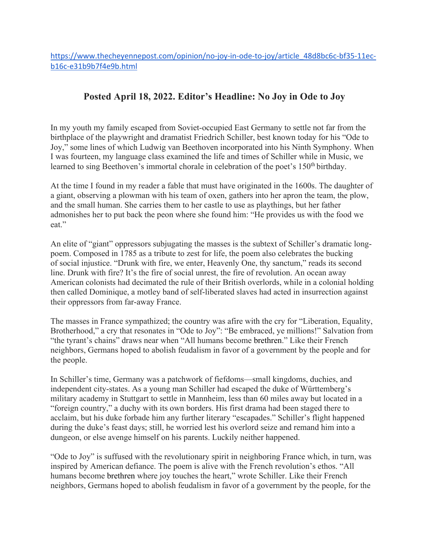https://www.thecheyennepost.com/opinion/no-joy-in-ode-to-joy/article\_48d8bc6c-bf35-11ecb16c-e31b9b7f4e9b.html

## **Posted April 18, 2022. Editor's Headline: No Joy in Ode to Joy**

In my youth my family escaped from Soviet-occupied East Germany to settle not far from the birthplace of the playwright and dramatist Friedrich Schiller, best known today for his "Ode to Joy," some lines of which Ludwig van Beethoven incorporated into his Ninth Symphony. When I was fourteen, my language class examined the life and times of Schiller while in Music, we learned to sing Beethoven's immortal chorale in celebration of the poet's 150<sup>th</sup> birthday.

At the time I found in my reader a fable that must have originated in the 1600s. The daughter of a giant, observing a plowman with his team of oxen, gathers into her apron the team, the plow, and the small human. She carries them to her castle to use as playthings, but her father admonishes her to put back the peon where she found him: "He provides us with the food we eat."

An elite of "giant" oppressors subjugating the masses is the subtext of Schiller's dramatic longpoem. Composed in 1785 as a tribute to zest for life, the poem also celebrates the bucking of social injustice. "Drunk with fire, we enter, Heavenly One, thy sanctum," reads its second line. Drunk with fire? It's the fire of social unrest, the fire of revolution. An ocean away American colonists had decimated the rule of their British overlords, while in a colonial holding then called Dominique, a motley band of self-liberated slaves had acted in insurrection against their oppressors from far-away France.

The masses in France sympathized; the country was afire with the cry for "Liberation, Equality, Brotherhood," a cry that resonates in "Ode to Joy": "Be embraced, ye millions!" Salvation from "the tyrant's chains" draws near when "All humans become brethren." Like their French neighbors, Germans hoped to abolish feudalism in favor of a government by the people and for the people.

In Schiller's time, Germany was a patchwork of fiefdoms—small kingdoms, duchies, and independent city-states. As a young man Schiller had escaped the duke of Württemberg's military academy in Stuttgart to settle in Mannheim, less than 60 miles away but located in a "foreign country," a duchy with its own borders. His first drama had been staged there to acclaim, but his duke forbade him any further literary "escapades." Schiller's flight happened during the duke's feast days; still, he worried lest his overlord seize and remand him into a dungeon, or else avenge himself on his parents. Luckily neither happened.

"Ode to Joy" is suffused with the revolutionary spirit in neighboring France which, in turn, was inspired by American defiance. The poem is alive with the French revolution's ethos. "All humans become brethren where joy touches the heart," wrote Schiller. Like their French neighbors, Germans hoped to abolish feudalism in favor of a government by the people, for the